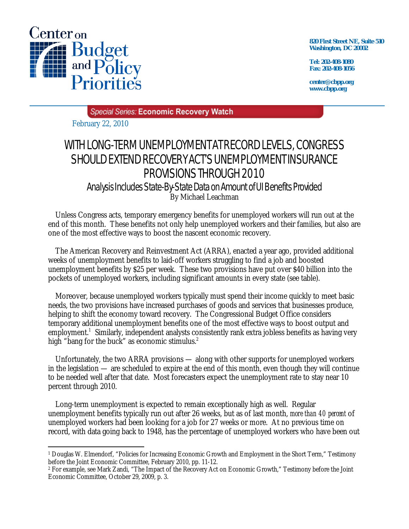

**820 First Street NE, Suite 510 Washington, DC 20002** 

**Tel: 202-408-1080 Fax: 202-408-1056** 

**center@cbpp.org www.cbpp.org** 

Special Series: Economic Recovery Watch

February 22, 2010

## WITH LONG-TERM UNEMPLOYMENT AT RECORD LEVELS, CONGRESS SHOULD EXTEND RECOVERY ACT'S UNEMPLOYMENT INSURANCE PROVISIONS THROUGH 2010

## Analysis Includes State-By-State Data on Amount of UI Benefits Provided

By Michael Leachman

Unless Congress acts, temporary emergency benefits for unemployed workers will run out at the end of this month. These benefits not only help unemployed workers and their families, but also are one of the most effective ways to boost the nascent economic recovery.

The American Recovery and Reinvestment Act (ARRA), enacted a year ago, provided additional weeks of unemployment benefits to laid-off workers struggling to find a job and boosted unemployment benefits by \$25 per week. These two provisions have put over \$40 billion into the pockets of unemployed workers, including significant amounts in every state (see table).

Moreover, because unemployed workers typically must spend their income quickly to meet basic needs, the two provisions have increased purchases of goods and services that businesses produce, helping to shift the economy toward recovery. The Congressional Budget Office considers temporary additional unemployment benefits one of the most effective ways to boost output and employment.<sup>1</sup> Similarly, independent analysts consistently rank extra jobless benefits as having very high "bang for the buck" as economic stimulus. $2$ 

Unfortunately, the two ARRA provisions — along with other supports for unemployed workers in the legislation — are scheduled to expire at the end of this month, even though they will continue to be needed well after that date. Most forecasters expect the unemployment rate to stay near 10 percent through 2010.

Long-term unemployment is expected to remain exceptionally high as well. Regular unemployment benefits typically run out after 26 weeks, but as of last month, *more than 40 percent* of unemployed workers had been looking for a job for 27 weeks or more. At no previous time on record, with data going back to 1948, has the percentage of unemployed workers who have been out

 $\overline{a}$ 1 Douglas W. Elmendorf, "Policies for Increasing Economic Growth and Employment in the Short Term," Testimony before the Joint Economic Committee, February 2010, pp. 11-12.

<sup>&</sup>lt;sup>2</sup> For example, see Mark Zandi, "The Impact of the Recovery Act on Economic Growth," Testimony before the Joint Economic Committee, October 29, 2009, p. 3.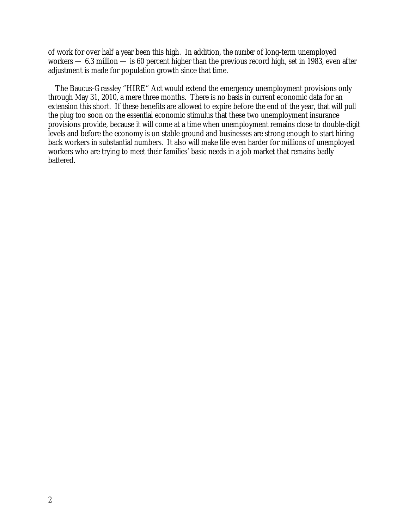of work for over half a year been this high. In addition, the *number* of long-term unemployed workers — 6.3 million — is 60 percent higher than the previous record high, set in 1983, even after adjustment is made for population growth since that time.

The Baucus-Grassley "HIRE" Act would extend the emergency unemployment provisions only through May 31, 2010, a mere three months. There is no basis in current economic data for an extension this short. If these benefits are allowed to expire before the end of the year, that will pull the plug too soon on the essential economic stimulus that these two unemployment insurance provisions provide, because it will come at a time when unemployment remains close to double-digit levels and before the economy is on stable ground and businesses are strong enough to start hiring back workers in substantial numbers. It also will make life even harder for millions of unemployed workers who are trying to meet their families' basic needs in a job market that remains badly battered.